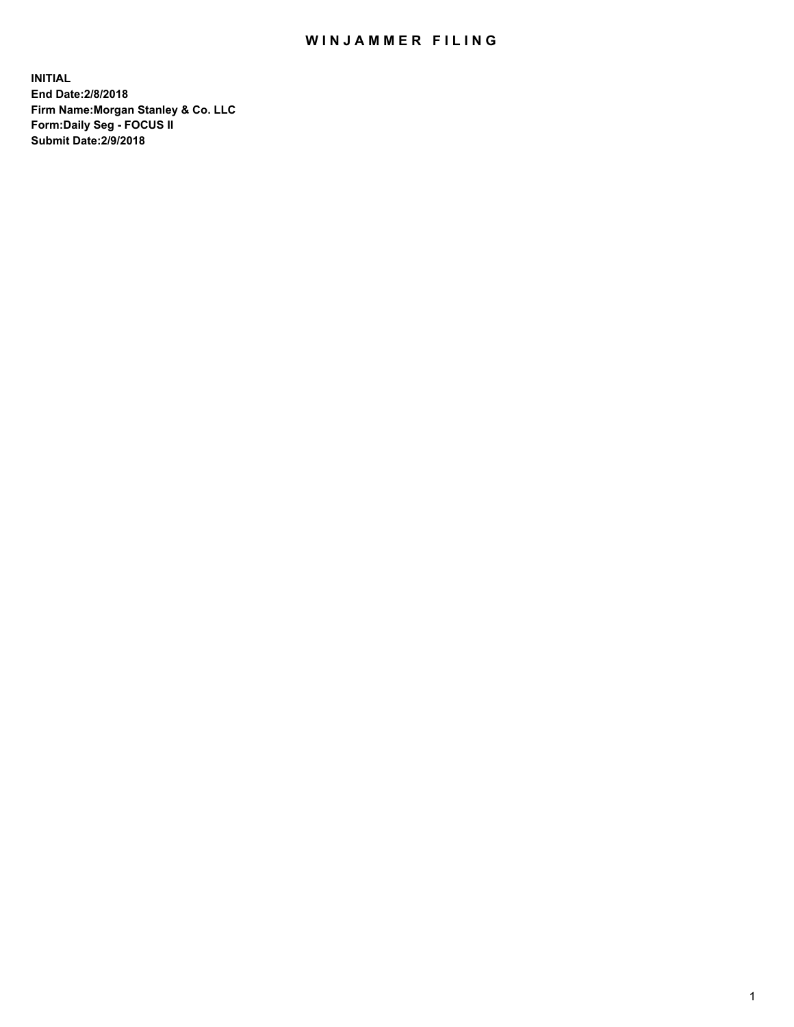## WIN JAMMER FILING

**INITIAL End Date:2/8/2018 Firm Name:Morgan Stanley & Co. LLC Form:Daily Seg - FOCUS II Submit Date:2/9/2018**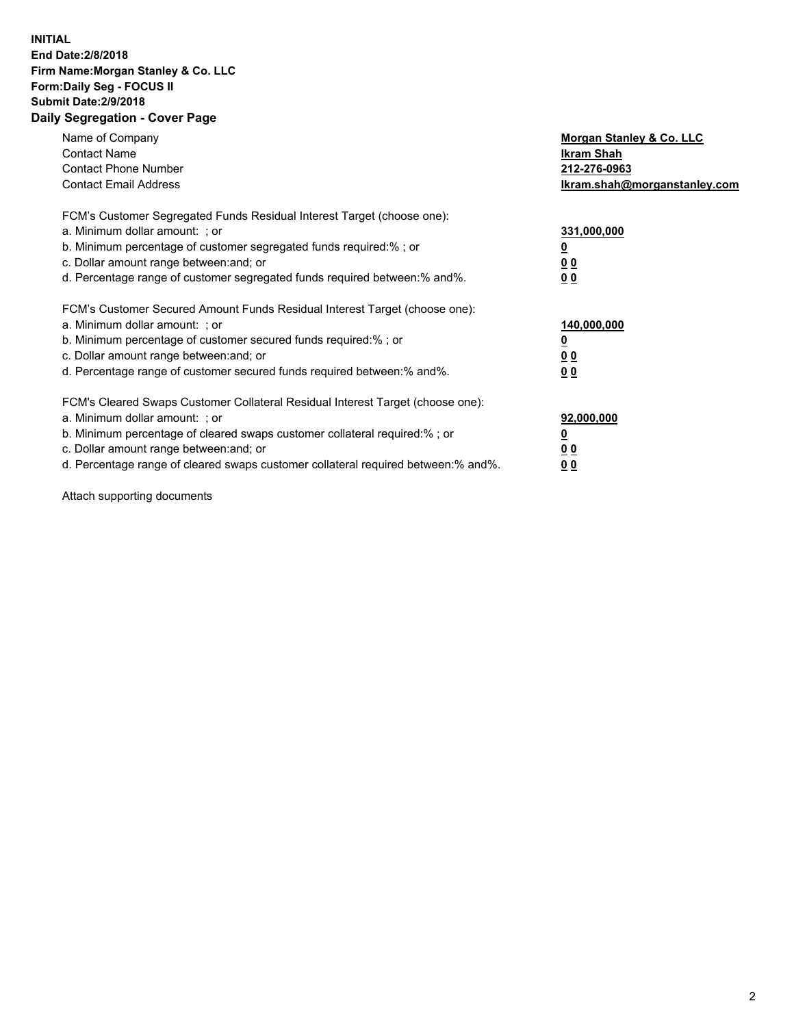## **INITIAL End Date:2/8/2018 Firm Name:Morgan Stanley & Co. LLC Form:Daily Seg - FOCUS II Submit Date:2/9/2018 Daily Segregation - Cover Page**

| Name of Company<br><b>Contact Name</b><br><b>Contact Phone Number</b><br><b>Contact Email Address</b>                                                                                                                                                                                                                          | Morgan Stanley & Co. LLC<br>Ikram Shah<br>212-276-0963<br>lkram.shah@morganstanley.com |
|--------------------------------------------------------------------------------------------------------------------------------------------------------------------------------------------------------------------------------------------------------------------------------------------------------------------------------|----------------------------------------------------------------------------------------|
| FCM's Customer Segregated Funds Residual Interest Target (choose one):<br>a. Minimum dollar amount: ; or<br>b. Minimum percentage of customer segregated funds required:%; or<br>c. Dollar amount range between: and; or<br>d. Percentage range of customer segregated funds required between: % and %.                        | 331,000,000<br><u>0</u><br>0 <sub>0</sub><br><u>00</u>                                 |
| FCM's Customer Secured Amount Funds Residual Interest Target (choose one):<br>a. Minimum dollar amount: ; or<br>b. Minimum percentage of customer secured funds required:%; or<br>c. Dollar amount range between: and; or<br>d. Percentage range of customer secured funds required between: % and %.                          | 140,000,000<br>0 <sub>0</sub><br>0 <sub>0</sub>                                        |
| FCM's Cleared Swaps Customer Collateral Residual Interest Target (choose one):<br>a. Minimum dollar amount: ; or<br>b. Minimum percentage of cleared swaps customer collateral required:% ; or<br>c. Dollar amount range between: and; or<br>d. Percentage range of cleared swaps customer collateral required between:% and%. | 92,000,000<br>0 <sub>0</sub><br>0 <sub>0</sub>                                         |

Attach supporting documents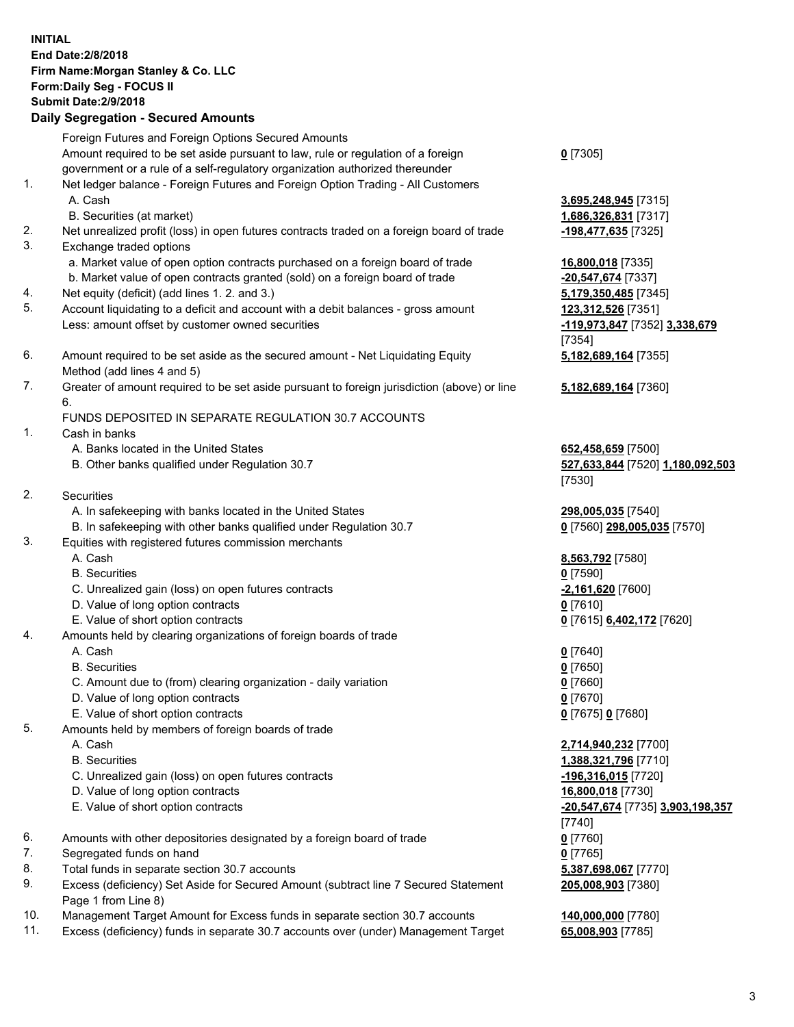## **INITIAL End Date:2/8/2018 Firm Name:Morgan Stanley & Co. LLC Form:Daily Seg - FOCUS II Submit Date:2/9/2018 Daily Segregation - Secured Amounts** Foreign Futures and Foreign Options Secured Amounts Amount required to be set aside pursuant to law, rule or regulation of a foreign government or a rule of a self-regulatory organization authorized thereunder 1. Net ledger balance - Foreign Futures and Foreign Option Trading - All Customers A. Cash **3,695,248,945** [7315] B. Securities (at market) **1,686,326,831** [7317] 2. Net unrealized profit (loss) in open futures contracts traded on a foreign board of trade **-198,477,635** [7325] 3. Exchange traded options a. Market value of open option contracts purchased on a foreign board of trade **16,800,018** [7335] b. Market value of open contracts granted (sold) on a foreign board of trade **-20,547,674** [7337] 4. Net equity (deficit) (add lines 1. 2. and 3.) **5,179,350,485** [7345] 5. Account liquidating to a deficit and account with a debit balances - gross amount **123,312,526** [7351]

- Less: amount offset by customer owned securities **-119,973,847** [7352] **3,338,679**
- 6. Amount required to be set aside as the secured amount Net Liquidating Equity Method (add lines 4 and 5)
- 7. Greater of amount required to be set aside pursuant to foreign jurisdiction (above) or line 6.

## FUNDS DEPOSITED IN SEPARATE REGULATION 30.7 ACCOUNTS

- 1. Cash in banks
	- A. Banks located in the United States **652,458,659** [7500]
	- B. Other banks qualified under Regulation 30.7 **527,633,844** [7520] **1,180,092,503**
- 2. Securities
	- A. In safekeeping with banks located in the United States **298,005,035** [7540]
	- B. In safekeeping with other banks qualified under Regulation 30.7 **0** [7560] **298,005,035** [7570]
- 3. Equities with registered futures commission merchants
	-
	-
	- C. Unrealized gain (loss) on open futures contracts **-2,161,620** [7600]
	- D. Value of long option contracts **0** [7610]
- E. Value of short option contracts **0** [7615] **6,402,172** [7620]
- 4. Amounts held by clearing organizations of foreign boards of trade
	-
	-
	- C. Amount due to (from) clearing organization daily variation **0** [7660]
	- D. Value of long option contracts **0** [7670]
	- E. Value of short option contracts **0** [7675] **0** [7680]
- 5. Amounts held by members of foreign boards of trade
	-
	-
	- C. Unrealized gain (loss) on open futures contracts **-196,316,015** [7720]
	- D. Value of long option contracts **16,800,018** [7730]
	- E. Value of short option contracts **-20,547,674** [7735] **3,903,198,357**
- 6. Amounts with other depositories designated by a foreign board of trade **0** [7760]
- 7. Segregated funds on hand **0** [7765]
- 8. Total funds in separate section 30.7 accounts **5,387,698,067** [7770]
- 9. Excess (deficiency) Set Aside for Secured Amount (subtract line 7 Secured Statement Page 1 from Line 8)
- 10. Management Target Amount for Excess funds in separate section 30.7 accounts **140,000,000** [7780]
- 11. Excess (deficiency) funds in separate 30.7 accounts over (under) Management Target **65,008,903** [7785]

**0** [7305]

[7354] **5,182,689,164** [7355]

**5,182,689,164** [7360]

[7530]

 A. Cash **8,563,792** [7580] B. Securities **0** [7590]

 A. Cash **0** [7640] B. Securities **0** [7650]

 A. Cash **2,714,940,232** [7700] B. Securities **1,388,321,796** [7710] [7740] **205,008,903** [7380]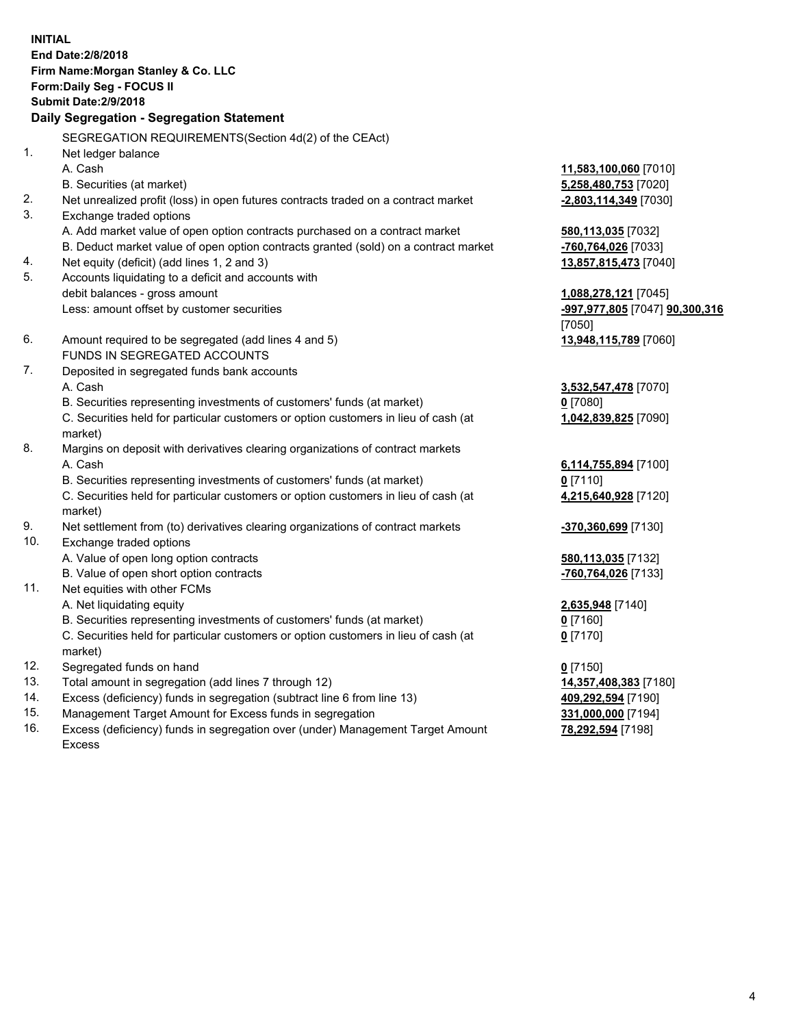**INITIAL End Date:2/8/2018 Firm Name:Morgan Stanley & Co. LLC Form:Daily Seg - FOCUS II Submit Date:2/9/2018 Daily Segregation - Segregation Statement** SEGREGATION REQUIREMENTS(Section 4d(2) of the CEAct) 1. Net ledger balance A. Cash **11,583,100,060** [7010] B. Securities (at market) **5,258,480,753** [7020] 2. Net unrealized profit (loss) in open futures contracts traded on a contract market **-2,803,114,349** [7030] 3. Exchange traded options A. Add market value of open option contracts purchased on a contract market **580,113,035** [7032] B. Deduct market value of open option contracts granted (sold) on a contract market **-760,764,026** [7033] 4. Net equity (deficit) (add lines 1, 2 and 3) **13,857,815,473** [7040] 5. Accounts liquidating to a deficit and accounts with debit balances - gross amount **1,088,278,121** [7045] Less: amount offset by customer securities **-997,977,805** [7047] **90,300,316** [7050] 6. Amount required to be segregated (add lines 4 and 5) **13,948,115,789** [7060] FUNDS IN SEGREGATED ACCOUNTS 7. Deposited in segregated funds bank accounts A. Cash **3,532,547,478** [7070] B. Securities representing investments of customers' funds (at market) **0** [7080] C. Securities held for particular customers or option customers in lieu of cash (at market) **1,042,839,825** [7090] 8. Margins on deposit with derivatives clearing organizations of contract markets A. Cash **6,114,755,894** [7100] B. Securities representing investments of customers' funds (at market) **0** [7110] C. Securities held for particular customers or option customers in lieu of cash (at market) **4,215,640,928** [7120] 9. Net settlement from (to) derivatives clearing organizations of contract markets **-370,360,699** [7130] 10. Exchange traded options A. Value of open long option contracts **580,113,035** [7132] B. Value of open short option contracts **-760,764,026** [7133] 11. Net equities with other FCMs A. Net liquidating equity **2,635,948** [7140] B. Securities representing investments of customers' funds (at market) **0** [7160] C. Securities held for particular customers or option customers in lieu of cash (at market) **0** [7170] 12. Segregated funds on hand **0** [7150] 13. Total amount in segregation (add lines 7 through 12) **14,357,408,383** [7180] 14. Excess (deficiency) funds in segregation (subtract line 6 from line 13) **409,292,594** [7190] 15. Management Target Amount for Excess funds in segregation **331,000,000** [7194]

16. Excess (deficiency) funds in segregation over (under) Management Target Amount Excess

**78,292,594** [7198]